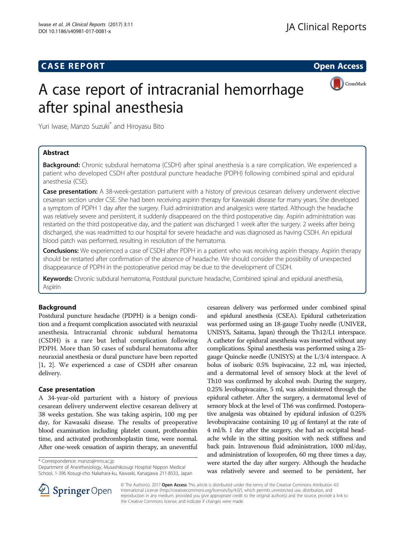### **CASE REPORT CASE REPORT CASE REPORT**



# A case report of intracranial hemorrhage after spinal anesthesia

Yuri Iwase, Manzo Suzuki\* and Hiroyasu Bito

### Abstract

Background: Chronic subdural hematoma (CSDH) after spinal anesthesia is a rare complication. We experienced a patient who developed CSDH after postdural puncture headache (PDPH) following combined spinal and epidural anesthesia (CSE).

**Case presentation:** A 38-week-gestation parturient with a history of previous cesarean delivery underwent elective cesarean section under CSE. She had been receiving aspirin therapy for Kawasaki disease for many years. She developed a symptom of PDPH 1 day after the surgery. Fluid administration and analgesics were started. Although the headache was relatively severe and persistent, it suddenly disappeared on the third postoperative day. Aspirin administration was restarted on the third postoperative day, and the patient was discharged 1 week after the surgery. 2 weeks after being discharged, she was readmitted to our hospital for severe headache and was diagnosed as having CSDH. An epidural blood patch was performed, resulting in resolution of the hematoma.

**Conclusions:** We experienced a case of CSDH after PDPH in a patient who was receiving aspirin therapy. Aspirin therapy should be restarted after confirmation of the absence of headache. We should consider the possibility of unexpected disappearance of PDPH in the postoperative period may be due to the development of CSDH.

Keywords: Chronic subdural hematoma, Postdural puncture headache, Combined spinal and epidural anesthesia, Aspirin

### Background

Postdural puncture headache (PDPH) is a benign condition and a frequent complication associated with neuraxial anesthesia. Intracranial chronic subdural hematoma (CSDH) is a rare but lethal complication following PDPH. More than 50 cases of subdural hematoma after neuraxial anesthesia or dural puncture have been reported [[1, 2](#page-3-0)]. We experienced a case of CSDH after cesarean delivery.

### Case presentation

A 34-year-old parturient with a history of previous cesarean delivery underwent elective cesarean delivery at 38 weeks gestation. She was taking aspirin, 100 mg per day, for Kawasaki disease. The results of preoperative blood examination including platelet count, prothrombin time, and activated prothromboplastin time, were normal. After one-week cessation of aspirin therapy, an uneventful

\* Correspondence: [manzo@nms.ac.jp](mailto:manzo@nms.ac.jp)

Department of Anesthesiology, Musashikosugi Hospital Nippon Medical School, 1-396 Kosugi-cho Nakahara-ku, Kawaski, Kanagawa 211-8533, Japan

cesarean delivery was performed under combined spinal and epidural anesthesia (CSEA). Epidural catheterization was performed using an 18-gauge Tuohy needle (UNIVER, UNISYS, Saitama, Japan) through the Th12/L1 interspace. A catheter for epidural anesthesia was inserted without any complications. Spinal anesthesia was performed using a 25 gauge Quincke needle (UNISYS) at the L/3/4 interspace. A bolus of isobaric 0.5% bupivacaine, 2.2 ml, was injected, and a dermatomal level of sensory block at the level of Th10 was confirmed by alcohol swab. During the surgery, 0.25% levobupivacaine, 5 ml, was administered through the epidural catheter. After the surgery, a dermatomal level of sensory block at the level of Th6 was confirmed. Postoperative analgesia was obtained by epidural infusion of 0.25% levobupivacaine containing 10 μg of fentanyl at the rate of 4 ml/h. 1 day after the surgery, she had an occipital headache while in the sitting position with neck stiffness and back pain. Intravenous fluid administration, 1000 ml/day, and administration of loxoprofen, 60 mg three times a day, were started the day after surgery. Although the headache was relatively severe and seemed to be persistent, her



© The Author(s). 2017 Open Access This article is distributed under the terms of the Creative Commons Attribution 4.0 International License ([http://creativecommons.org/licenses/by/4.0/\)](http://creativecommons.org/licenses/by/4.0/), which permits unrestricted use, distribution, and reproduction in any medium, provided you give appropriate credit to the original author(s) and the source, provide a link to the Creative Commons license, and indicate if changes were made.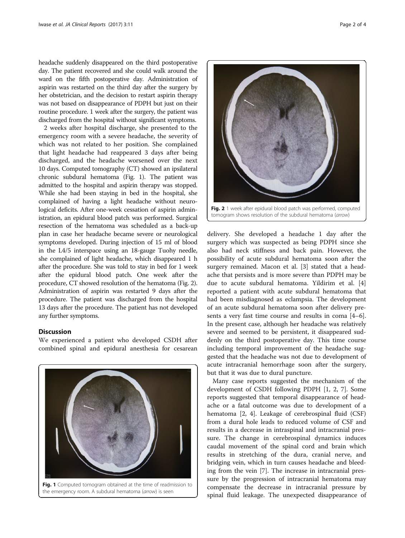headache suddenly disappeared on the third postoperative day. The patient recovered and she could walk around the ward on the fifth postoperative day. Administration of aspirin was restarted on the third day after the surgery by her obstetrician, and the decision to restart aspirin therapy was not based on disappearance of PDPH but just on their routine procedure. 1 week after the surgery, the patient was discharged from the hospital without significant symptoms.

2 weeks after hospital discharge, she presented to the emergency room with a severe headache, the severity of which was not related to her position. She complained that light headache had reappeared 3 days after being discharged, and the headache worsened over the next 10 days. Computed tomography (CT) showed an ipsilateral chronic subdural hematoma (Fig. 1). The patient was admitted to the hospital and aspirin therapy was stopped. While she had been staying in bed in the hospital, she complained of having a light headache without neurological deficits. After one-week cessation of aspirin administration, an epidural blood patch was performed. Surgical resection of the hematoma was scheduled as a back-up plan in case her headache became severe or neurological symptoms developed. During injection of 15 ml of blood in the L4/5 interspace using an 18-gauge Tuohy needle, she complained of light headache, which disappeared 1 h after the procedure. She was told to stay in bed for 1 week after the epidural blood patch. One week after the procedure, CT showed resolution of the hematoma (Fig. 2). Administration of aspirin was restarted 9 days after the procedure. The patient was discharged from the hospital 13 days after the procedure. The patient has not developed any further symptoms.

### Discussion

We experienced a patient who developed CSDH after combined spinal and epidural anesthesia for cesarean





Fig. 2 1 week after epidural blood patch was performed, computed tomogram shows resolution of the subdural hematoma (arrow)

delivery. She developed a headache 1 day after the surgery which was suspected as being PDPH since she also had neck stiffness and back pain. However, the possibility of acute subdural hematoma soon after the surgery remained. Macon et al. [\[3](#page-3-0)] stated that a headache that persists and is more severe than PDPH may be due to acute subdural hematoma. Yildirim et al. [\[4](#page-3-0)] reported a patient with acute subdural hematoma that had been misdiagnosed as eclampsia. The development of an acute subdural hematoma soon after delivery presents a very fast time course and results in coma [\[4](#page-3-0)–[6](#page-3-0)]. In the present case, although her headache was relatively severe and seemed to be persistent, it disappeared suddenly on the third postoperative day. This time course including temporal improvement of the headache suggested that the headache was not due to development of acute intracranial hemorrhage soon after the surgery, but that it was due to dural puncture.

Many case reports suggested the mechanism of the development of CSDH following PDPH [\[1](#page-3-0), [2](#page-3-0), [7](#page-3-0)]. Some reports suggested that temporal disappearance of headache or a fatal outcome was due to development of a hematoma [[2, 4](#page-3-0)]. Leakage of cerebrospinal fluid (CSF) from a dural hole leads to reduced volume of CSF and results in a decrease in intraspinal and intracranial pressure. The change in cerebrospinal dynamics induces caudal movement of the spinal cord and brain which results in stretching of the dura, cranial nerve, and bridging vein, which in turn causes headache and bleeding from the vein [\[7](#page-3-0)]. The increase in intracranial pressure by the progression of intracranial hematoma may compensate the decrease in intracranial pressure by spinal fluid leakage. The unexpected disappearance of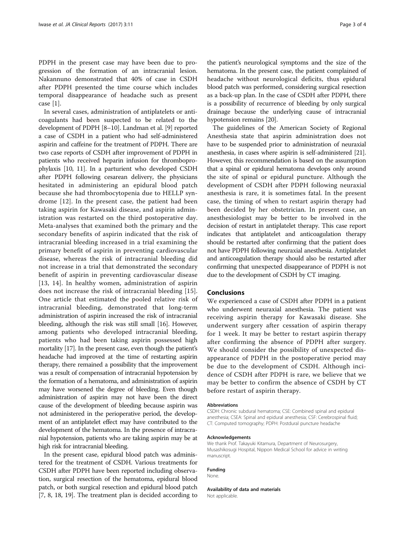PDPH in the present case may have been due to progression of the formation of an intracranial lesion. Nakannuno demonstrated that 40% of case in CSDH after PDPH presented the time course which includes temporal disappearance of headache such as present case [[1\]](#page-3-0).

In several cases, administration of antiplatelets or anticoagulants had been suspected to be related to the development of PDPH [[8](#page-3-0)–[10\]](#page-3-0). Landman et al. [[9\]](#page-3-0) reported a case of CSDH in a patient who had self-administered aspirin and caffeine for the treatment of PDPH. There are two case reports of CSDH after improvement of PDPH in patients who received heparin infusion for thromboprophylaxis [[10](#page-3-0), [11](#page-3-0)]. In a parturient who developed CSDH after PDPH following cesarean delivery, the physicians hesitated in administering an epidural blood patch because she had thrombocytopenia due to HELLP syndrome [\[12](#page-3-0)]. In the present case, the patient had been taking aspirin for Kawasaki disease, and aspirin administration was restarted on the third postoperative day. Meta-analyses that examined both the primary and the secondary benefits of aspirin indicated that the risk of intracranial bleeding increased in a trial examining the primary benefit of aspirin in preventing cardiovascular disease, whereas the risk of intracranial bleeding did not increase in a trial that demonstrated the secondary benefit of aspirin in preventing cardiovascular disease [[13](#page-3-0), [14](#page-3-0)]. In healthy women, administration of aspirin does not increase the risk of intracranial bleeding [[15](#page-3-0)]. One article that estimated the pooled relative risk of intracranial bleeding, demonstrated that long-term administration of aspirin increased the risk of intracranial bleeding, although the risk was still small [[16](#page-3-0)]. However, among patients who developed intracranial bleeding, patients who had been taking aspirin possessed high mortality [[17](#page-3-0)]. In the present case, even though the patient's headache had improved at the time of restarting aspirin therapy, there remained a possibility that the improvement was a result of compensation of intracranial hypotension by the formation of a hematoma, and administration of aspirin may have worsened the degree of bleeding. Even though administration of aspirin may not have been the direct cause of the development of bleeding because aspirin was not administered in the perioperative period, the development of an antiplatelet effect may have contributed to the development of the hematoma. In the presence of intracranial hypotension, patients who are taking aspirin may be at high risk for intracranial bleeding.

In the present case, epidural blood patch was administered for the treatment of CSDH. Various treatments for CSDH after PDPH have been reported including observation, surgical resection of the hematoma, epidural blood patch, or both surgical resection and epidural blood patch [[7, 8, 18, 19](#page-3-0)]. The treatment plan is decided according to

the patient's neurological symptoms and the size of the hematoma. In the present case, the patient complained of headache without neurological deficits, thus epidural blood patch was performed, considering surgical resection as a back-up plan. In the case of CSDH after PDPH, there is a possibility of recurrence of bleeding by only surgical drainage because the underlying cause of intracranial hypotension remains [[20](#page-3-0)].

The guidelines of the American Society of Regional Anesthesia state that aspirin administration does not have to be suspended prior to administration of neuraxial anesthesia, in cases where aspirin is self-administered [\[21](#page-3-0)]. However, this recommendation is based on the assumption that a spinal or epidural hematoma develops only around the site of spinal or epidural puncture. Although the development of CSDH after PDPH following neuraxial anesthesia is rare, it is sometimes fatal. In the present case, the timing of when to restart aspirin therapy had been decided by her obstetrician. In present case, an anesthesiologist may be better to be involved in the decision of restart in antiplatelet therapy. This case report indicates that antiplatelet and anticoagulation therapy should be restarted after confirming that the patient does not have PDPH following neuraxial anesthesia. Antiplatelet and anticoagulation therapy should also be restarted after confirming that unexpected disappearance of PDPH is not due to the development of CSDH by CT imaging.

### Conclusions

We experienced a case of CSDH after PDPH in a patient who underwent neuraxial anesthesia. The patient was receiving aspirin therapy for Kawasaki disease. She underwent surgery after cessation of aspirin therapy for 1 week. It may be better to restart aspirin therapy after confirming the absence of PDPH after surgery. We should consider the possibility of unexpected disappearance of PDPH in the postoperative period may be due to the development of CSDH. Although incidence of CSDH after PDPH is rare, we believe that we may be better to confirm the absence of CSDH by CT before restart of aspirin therapy.

#### Abbreviations

CSDH: Chronic subdural hematoma; CSE: Combined spinal and epidural anesthesia; CSEA: Spinal and epidural anesthesia; CSF: Cerebrospinal fluid; CT: Computed tomography; PDPH: Postdural puncture headache

#### Acknowledgements

We thank Prof. Takayuki Kitamura, Department of Neurosurgery, Musashikosugi Hospital, Nippon Medical School for advice in writing manuscript.

### Funding

None.

### Availability of data and materials

Not applicable.